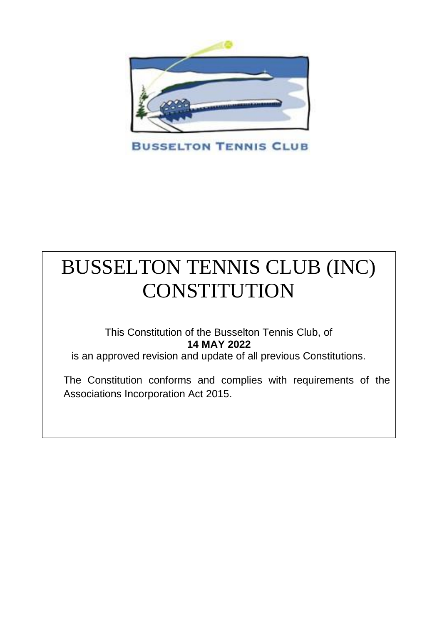

**BUSSELTON TENNIS CLUB** 

## BUSSELTON TENNIS CLUB (INC) **CONSTITUTION**

This Constitution of the Busselton Tennis Club, of **14 MAY 2022**

is an approved revision and update of all previous Constitutions.

The Constitution conforms and complies with requirements of the Associations Incorporation Act 2015.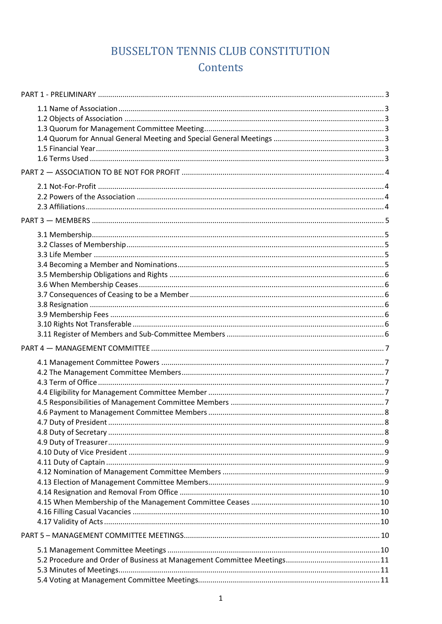## **BUSSELTON TENNIS CLUB CONSTITUTION** Contents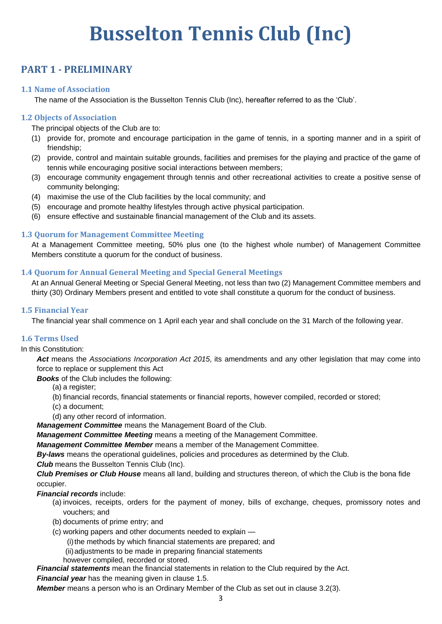# **Busselton Tennis Club (Inc)**

### <span id="page-3-0"></span>**PART 1 - PRELIMINARY**

### <span id="page-3-1"></span>**1.1 Name of Association**

The name of the Association is the Busselton Tennis Club (Inc), hereafter referred to as the 'Club'.

### <span id="page-3-2"></span>**1.2 Objects of Association**

The principal objects of the Club are to:

- (1) provide for, promote and encourage participation in the game of tennis, in a sporting manner and in a spirit of friendship;
- (2) provide, control and maintain suitable grounds, facilities and premises for the playing and practice of the game of tennis while encouraging positive social interactions between members;
- (3) encourage community engagement through tennis and other recreational activities to create a positive sense of community belonging;
- (4) maximise the use of the Club facilities by the local community; and
- (5) encourage and promote healthy lifestyles through active physical participation.
- (6) ensure effective and sustainable financial management of the Club and its assets.

### <span id="page-3-3"></span>**1.3 Quorum for Management Committee Meeting**

At a Management Committee meeting, 50% plus one (to the highest whole number) of Management Committee Members constitute a quorum for the conduct of business.

### <span id="page-3-4"></span>**1.4 Quorum for Annual General Meeting and Special General Meetings**

At an Annual General Meeting or Special General Meeting, not less than two (2) Management Committee members and thirty (30) Ordinary Members present and entitled to vote shall constitute a quorum for the conduct of business.

### <span id="page-3-5"></span>**1.5 Financial Year**

The financial year shall commence on 1 April each year and shall conclude on the 31 March of the following year.

### <span id="page-3-6"></span>**1.6 Terms Used**

### In this Constitution:

*Act* means the *Associations Incorporation Act 2015,* its amendments and any other legislation that may come into force to replace or supplement this Act

*Books* of the Club includes the following:

- (a) a register;
- (b) financial records, financial statements or financial reports, however compiled, recorded or stored;
- (c) a document;
- (d) any other record of information.

*Management Committee* means the Management Board of the Club.

*Management Committee Meeting* means a meeting of the Management Committee.

*Management Committee Member* means a member of the Management Committee.

*By-laws* means the operational guidelines, policies and procedures as determined by the Club.

*Club* means the Busselton Tennis Club (Inc).

*Club Premises or Club House* means all land, building and structures thereon, of which the Club is the bona fide occupier.

### *Financial records* include:

- (a) invoices, receipts, orders for the payment of money, bills of exchange, cheques, promissory notes and vouchers; and
- (b) documents of prime entry; and
- (c) working papers and other documents needed to explain
	- (i) the methods by which financial statements are prepared; and
	- (ii)adjustments to be made in preparing financial statements
	- however compiled, recorded or stored.

*Financial statements* mean the financial statements in relation to the Club required by the Act.

*Financial year* has the meaning given in clause 1.5.

*Member* means a person who is an Ordinary Member of the Club as set out in clause 3.2(3).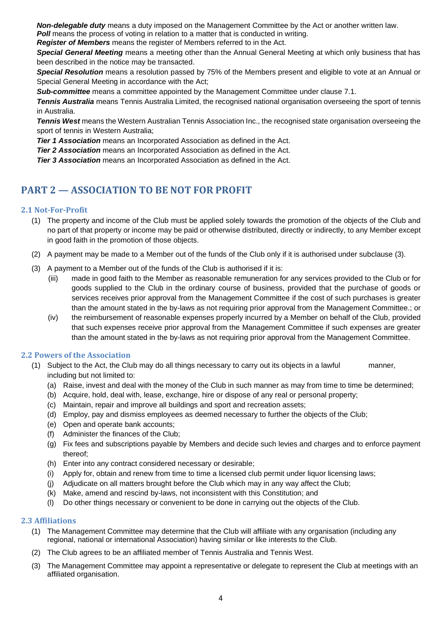*Non-delegable duty* means a duty imposed on the Management Committee by the Act or another written law.

**Poll** means the process of voting in relation to a matter that is conducted in writing.

*Register of Members* means the register of Members referred to in the Act.

*Special General Meeting* means a meeting other than the Annual General Meeting at which only business that has been described in the notice may be transacted.

*Special Resolution* means a resolution passed by 75% of the Members present and eligible to vote at an Annual or Special General Meeting in accordance with the Act;

*Sub-committee* means a committee appointed by the Management Committee under clause 7.1.

*Tennis Australia* means Tennis Australia Limited, the recognised national organisation overseeing the sport of tennis in Australia.

*Tennis West* means the Western Australian Tennis Association Inc., the recognised state organisation overseeing the sport of tennis in Western Australia;

*Tier 1 Association* means an Incorporated Association as defined in the Act.

*Tier 2 Association* means an Incorporated Association as defined in the Act.

*Tier 3 Association* means an Incorporated Association as defined in the Act.

### <span id="page-4-0"></span>**PART 2 — ASSOCIATION TO BE NOT FOR PROFIT**

### <span id="page-4-1"></span>**2.1 Not-For-Profit**

- (1) The property and income of the Club must be applied solely towards the promotion of the objects of the Club and no part of that property or income may be paid or otherwise distributed, directly or indirectly, to any Member except in good faith in the promotion of those objects.
- (2) A payment may be made to a Member out of the funds of the Club only if it is authorised under subclause (3).
- (3) A payment to a Member out of the funds of the Club is authorised if it is:
	- (iii) made in good faith to the Member as reasonable remuneration for any services provided to the Club or for goods supplied to the Club in the ordinary course of business, provided that the purchase of goods or services receives prior approval from the Management Committee if the cost of such purchases is greater than the amount stated in the by-laws as not requiring prior approval from the Management Committee.; or
	- (iv) the reimbursement of reasonable expenses properly incurred by a Member on behalf of the Club, provided that such expenses receive prior approval from the Management Committee if such expenses are greater than the amount stated in the by-laws as not requiring prior approval from the Management Committee.

### <span id="page-4-2"></span>**2.2 Powers of the Association**

- (1) Subject to the Act, the Club may do all things necessary to carry out its objects in a lawful manner, including but not limited to:
	- (a) Raise, invest and deal with the money of the Club in such manner as may from time to time be determined;
	- (b) Acquire, hold, deal with, lease, exchange, hire or dispose of any real or personal property;
	- (c) Maintain, repair and improve all buildings and sport and recreation assets;
	- (d) Employ, pay and dismiss employees as deemed necessary to further the objects of the Club;
	- (e) Open and operate bank accounts;
	- (f) Administer the finances of the Club;
	- (g) Fix fees and subscriptions payable by Members and decide such levies and charges and to enforce payment thereof;
	- (h) Enter into any contract considered necessary or desirable;
	- (i) Apply for, obtain and renew from time to time a licensed club permit under liquor licensing laws;
	- (j) Adjudicate on all matters brought before the Club which may in any way affect the Club;
	- (k) Make, amend and rescind by-laws, not inconsistent with this Constitution; and
	- (l) Do other things necessary or convenient to be done in carrying out the objects of the Club.

### <span id="page-4-3"></span>**2.3 Affiliations**

- (1) The Management Committee may determine that the Club will affiliate with any organisation (including any regional, national or international Association) having similar or like interests to the Club.
- (2) The Club agrees to be an affiliated member of Tennis Australia and Tennis West.
- (3) The Management Committee may appoint a representative or delegate to represent the Club at meetings with an affiliated organisation.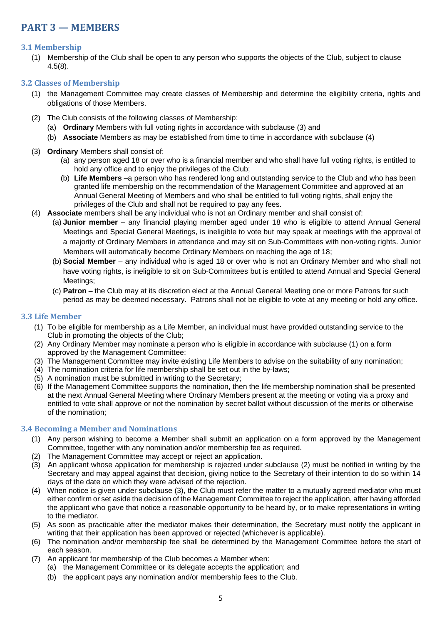### <span id="page-5-0"></span>**PART 3 — MEMBERS**

### <span id="page-5-1"></span>**3.1 Membership**

(1) Membership of the Club shall be open to any person who supports the objects of the Club, subject to clause 4.5(8).

### <span id="page-5-2"></span>**3.2 Classes of Membership**

- (1) the Management Committee may create classes of Membership and determine the eligibility criteria, rights and obligations of those Members.
- (2) The Club consists of the following classes of Membership:
	- (a) **Ordinary** Members with full voting rights in accordance with subclause (3) and
	- (b) **Associate** Members as may be established from time to time in accordance with subclause (4)
- (3) **Ordinary** Members shall consist of:
	- (a) any person aged 18 or over who is a financial member and who shall have full voting rights, is entitled to hold any office and to enjoy the privileges of the Club;
	- (b) **Life Members** –a person who has rendered long and outstanding service to the Club and who has been granted life membership on the recommendation of the Management Committee and approved at an Annual General Meeting of Members and who shall be entitled to full voting rights, shall enjoy the privileges of the Club and shall not be required to pay any fees.
- (4) **Associate** members shall be any individual who is not an Ordinary member and shall consist of:
	- (a) **Junior member** any financial playing member aged under 18 who is eligible to attend Annual General Meetings and Special General Meetings, is ineligible to vote but may speak at meetings with the approval of a majority of Ordinary Members in attendance and may sit on Sub-Committees with non-voting rights. Junior Members will automatically become Ordinary Members on reaching the age of 18;
	- (b) **Social Member** any individual who is aged 18 or over who is not an Ordinary Member and who shall not have voting rights, is ineligible to sit on Sub-Committees but is entitled to attend Annual and Special General Meetings:
	- (c) **Patron** the Club may at its discretion elect at the Annual General Meeting one or more Patrons for such period as may be deemed necessary. Patrons shall not be eligible to vote at any meeting or hold any office.

### <span id="page-5-3"></span>**3.3 Life Member**

- (1) To be eligible for membership as a Life Member, an individual must have provided outstanding service to the Club in promoting the objects of the Club;
- (2) Any Ordinary Member may nominate a person who is eligible in accordance with subclause (1) on a form approved by the Management Committee;
- (3) The Management Committee may invite existing Life Members to advise on the suitability of any nomination;
- (4) The nomination criteria for life membership shall be set out in the by-laws;
- (5) A nomination must be submitted in writing to the Secretary;
- (6) If the Management Committee supports the nomination, then the life membership nomination shall be presented at the next Annual General Meeting where Ordinary Members present at the meeting or voting via a proxy and entitled to vote shall approve or not the nomination by secret ballot without discussion of the merits or otherwise of the nomination;

### <span id="page-5-4"></span>**3.4 Becoming a Member and Nominations**

- (1) Any person wishing to become a Member shall submit an application on a form approved by the Management Committee, together with any nomination and/or membership fee as required.
- (2) The Management Committee may accept or reject an application.
- (3) An applicant whose application for membership is rejected under subclause (2) must be notified in writing by the Secretary and may appeal against that decision, giving notice to the Secretary of their intention to do so within 14 days of the date on which they were advised of the rejection.
- (4) When notice is given under subclause (3), the Club must refer the matter to a mutually agreed mediator who must either confirm or set aside the decision of the Management Committee to reject the application, after having afforded the applicant who gave that notice a reasonable opportunity to be heard by, or to make representations in writing to the mediator.
- (5) As soon as practicable after the mediator makes their determination, the Secretary must notify the applicant in writing that their application has been approved or rejected (whichever is applicable).
- (6) The nomination and/or membership fee shall be determined by the Management Committee before the start of each season.
- (7) An applicant for membership of the Club becomes a Member when:
	- (a) the Management Committee or its delegate accepts the application; and
	- (b) the applicant pays any nomination and/or membership fees to the Club.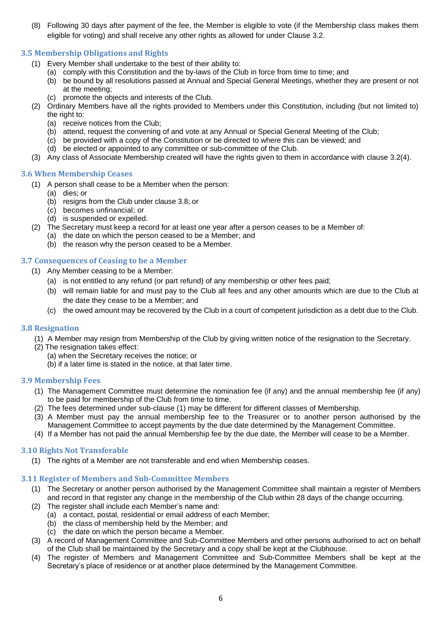(8) Following 30 days after payment of the fee, the Member is eligible to vote (if the Membership class makes them eligible for voting) and shall receive any other rights as allowed for under Clause 3.2.

### <span id="page-6-0"></span>**3.5 Membership Obligations and Rights**

- (1) Every Member shall undertake to the best of their ability to:
	- (a) comply with this Constitution and the by-laws of the Club in force from time to time; and
		- (b) be bound by all resolutions passed at Annual and Special General Meetings, whether they are present or not at the meeting;
		- (c) promote the objects and interests of the Club.
- (2) Ordinary Members have all the rights provided to Members under this Constitution, including (but not limited to) the right to:
	- (a) receive notices from the Club;
	- (b) attend, request the convening of and vote at any Annual or Special General Meeting of the Club;
	- (c) be provided with a copy of the Constitution or be directed to where this can be viewed; and
	- (d) be elected or appointed to any committee or sub-committee of the Club.
- (3) Any class of Associate Membership created will have the rights given to them in accordance with clause 3.2(4).

### <span id="page-6-1"></span>**3.6 When Membership Ceases**

- (1) A person shall cease to be a Member when the person:
	- (a) dies; or
	- (b) resigns from the Club under clause 3.8; or
	- (c) becomes unfinancial; or
	- (d) is suspended or expelled.
- (2) The Secretary must keep a record for at least one year after a person ceases to be a Member of:
	- (a) the date on which the person ceased to be a Member; and
	- (b) the reason why the person ceased to be a Member.

### <span id="page-6-2"></span>**3.7 Consequences of Ceasing to be a Member**

- (1) Any Member ceasing to be a Member:
	- (a) is not entitled to any refund (or part refund) of any membership or other fees paid;
	- (b) will remain liable for and must pay to the Club all fees and any other amounts which are due to the Club at the date they cease to be a Member; and
	- (c) the owed amount may be recovered by the Club in a court of competent jurisdiction as a debt due to the Club.

### <span id="page-6-3"></span>**3.8 Resignation**

- (1) A Member may resign from Membership of the Club by giving written notice of the resignation to the Secretary.
- (2) The resignation takes effect:
	- (a) when the Secretary receives the notice; or
	- (b) if a later time is stated in the notice, at that later time.

### <span id="page-6-4"></span>**3.9 Membership Fees**

- (1) The Management Committee must determine the nomination fee (if any) and the annual membership fee (if any) to be paid for membership of the Club from time to time.
- (2) The fees determined under sub-clause (1) may be different for different classes of Membership.
- (3) A Member must pay the annual membership fee to the Treasurer or to another person authorised by the Management Committee to accept payments by the due date determined by the Management Committee.
- (4) If a Member has not paid the annual Membership fee by the due date, the Member will cease to be a Member.

### <span id="page-6-5"></span>**3.10 Rights Not Transferable**

(1) The rights of a Member are not transferable and end when Membership ceases.

### <span id="page-6-6"></span>**3.11 Register of Members and Sub-Committee Members**

- (1) The Secretary or another person authorised by the Management Committee shall maintain a register of Members and record in that register any change in the membership of the Club within 28 days of the change occurring.
- (2) The register shall include each Member's name and:
	- (a) a contact, postal, residential or email address of each Member;
		- (b) the class of membership held by the Member; and
	- (c) the date on which the person became a Member.
- (3) A record of Management Committee and Sub-Committee Members and other persons authorised to act on behalf of the Club shall be maintained by the Secretary and a copy shall be kept at the Clubhouse.
- (4) The register of Members and Management Committee and Sub-Committee Members shall be kept at the Secretary's place of residence or at another place determined by the Management Committee.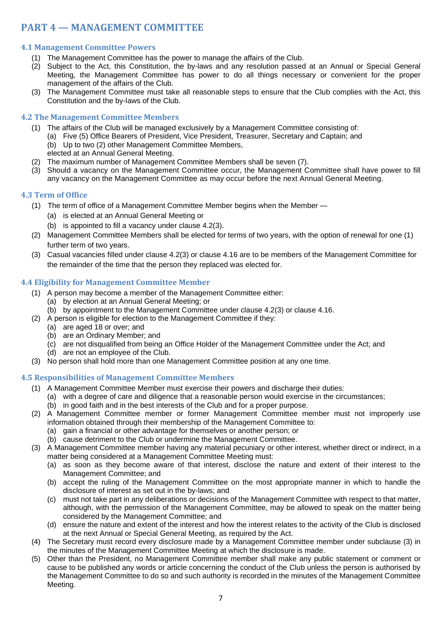### <span id="page-7-0"></span>**PART 4 — MANAGEMENT COMMITTEE**

### <span id="page-7-1"></span>**4.1 Management Committee Powers**

- (1) The Management Committee has the power to manage the affairs of the Club.
- (2) Subject to the Act, this Constitution, the by-laws and any resolution passed at an Annual or Special General Meeting, the Management Committee has power to do all things necessary or convenient for the proper management of the affairs of the Club.
- (3) The Management Committee must take all reasonable steps to ensure that the Club complies with the Act, this Constitution and the by-laws of the Club.

### <span id="page-7-2"></span>**4.2 The Management Committee Members**

- (1) The affairs of the Club will be managed exclusively by a Management Committee consisting of: (a) Five (5) Office Bearers of President, Vice President, Treasurer, Secretary and Captain; and (b) Up to two (2) other Management Committee Members, elected at an Annual General Meeting.
- (2) The maximum number of Management Committee Members shall be seven (7).
- (3) Should a vacancy on the Management Committee occur, the Management Committee shall have power to fill any vacancy on the Management Committee as may occur before the next Annual General Meeting.

### <span id="page-7-3"></span>**4.3 Term of Office**

- (1) The term of office of a Management Committee Member begins when the Member
	- (a) is elected at an Annual General Meeting or
	- (b) is appointed to fill a vacancy under clause 4.2(3).
- (2) Management Committee Members shall be elected for terms of two years, with the option of renewal for one (1) further term of two years.
- (3) Casual vacancies filled under clause 4.2(3) or clause 4.16 are to be members of the Management Committee for the remainder of the time that the person they replaced was elected for.

### <span id="page-7-4"></span>**4.4 Eligibility for Management Committee Member**

- (1) A person may become a member of the Management Committee either:
	- (a) by election at an Annual General Meeting; or
	- (b) by appointment to the Management Committee under clause 4.2(3) or clause 4.16.
- (2) A person is eligible for election to the Management Committee if they:
	- (a) are aged 18 or over; and
	- (b) are an Ordinary Member; and
	- (c) are not disqualified from being an Office Holder of the Management Committee under the Act; and
	- (d) are not an employee of the Club.
- (3) No person shall hold more than one Management Committee position at any one time.

### <span id="page-7-5"></span>**4.5 Responsibilities of Management Committee Members**

- (1) A Management Committee Member must exercise their powers and discharge their duties:
	- (a) with a degree of care and diligence that a reasonable person would exercise in the circumstances;
		- (b) in good faith and in the best interests of the Club and for a proper purpose.
- (2) A Management Committee member or former Management Committee member must not improperly use information obtained through their membership of the Management Committee to:
	- (a) gain a financial or other advantage for themselves or another person; or
	- (b) cause detriment to the Club or undermine the Management Committee.
- (3) A Management Committee member having any material pecuniary or other interest, whether direct or indirect, in a matter being considered at a Management Committee Meeting must:
	- (a) as soon as they become aware of that interest, disclose the nature and extent of their interest to the Management Committee; and
	- (b) accept the ruling of the Management Committee on the most appropriate manner in which to handle the disclosure of interest as set out in the by-laws; and
	- (c) must not take part in any deliberations or decisions of the Management Committee with respect to that matter, although, with the permission of the Management Committee, may be allowed to speak on the matter being considered by the Management Committee; and
	- (d) ensure the nature and extent of the interest and how the interest relates to the activity of the Club is disclosed at the next Annual or Special General Meeting, as required by the Act.
- (4) The Secretary must record every disclosure made by a Management Committee member under subclause (3) in the minutes of the Management Committee Meeting at which the disclosure is made.
- (5) Other than the President, no Management Committee member shall make any public statement or comment or cause to be published any words or article concerning the conduct of the Club unless the person is authorised by the Management Committee to do so and such authority is recorded in the minutes of the Management Committee Meeting.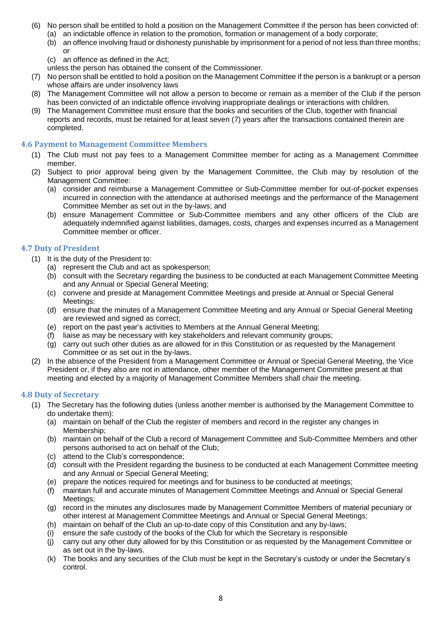- (6) No person shall be entitled to hold a position on the Management Committee if the person has been convicted of: (a) an indictable offence in relation to the promotion, formation or management of a body corporate;
	- (b) an offence involving fraud or dishonesty punishable by imprisonment for a period of not less than three months;
		- or
	- (c) an offence as defined in the Act;

unless the person has obtained the consent of the Commissioner.

- (7) No person shall be entitled to hold a position on the Management Committee if the person is a bankrupt or a person whose affairs are under insolvency laws
- (8) The Management Committee will not allow a person to become or remain as a member of the Club if the person has been convicted of an indictable offence involving inappropriate dealings or interactions with children.
- (9) The Management Committee must ensure that the books and securities of the Club, together with financial reports and records, must be retained for at least seven (7) years after the transactions contained therein are completed.

### <span id="page-8-0"></span>**4.6 Payment to Management Committee Members**

- (1) The Club must not pay fees to a Management Committee member for acting as a Management Committee member.
- (2) Subject to prior approval being given by the Management Committee, the Club may by resolution of the Management Committee:
	- (a) consider and reimburse a Management Committee or Sub-Committee member for out-of-pocket expenses incurred in connection with the attendance at authorised meetings and the performance of the Management Committee Member as set out in the by-laws; and
	- (b) ensure Management Committee or Sub-Committee members and any other officers of the Club are adequately indemnified against liabilities, damages, costs, charges and expenses incurred as a Management Committee member or officer.

### <span id="page-8-1"></span>**4.7 Duty of President**

- (1) It is the duty of the President to:
	- (a) represent the Club and act as spokesperson;
	- (b) consult with the Secretary regarding the business to be conducted at each Management Committee Meeting and any Annual or Special General Meeting;
	- (c) convene and preside at Management Committee Meetings and preside at Annual or Special General Meetings;
	- (d) ensure that the minutes of a Management Committee Meeting and any Annual or Special General Meeting are reviewed and signed as correct;
	- (e) report on the past year's activities to Members at the Annual General Meeting;
	- (f) liaise as may be necessary with key stakeholders and relevant community groups;
	- (g) carry out such other duties as are allowed for in this Constitution or as requested by the Management Committee or as set out in the by-laws.
- (2) In the absence of the President from a Management Committee or Annual or Special General Meeting, the Vice President or, if they also are not in attendance, other member of the Management Committee present at that meeting and elected by a majority of Management Committee Members shall chair the meeting.

### <span id="page-8-2"></span>**4.8 Duty of Secretary**

- (1) The Secretary has the following duties (unless another member is authorised by the Management Committee to do undertake them):
	- (a) maintain on behalf of the Club the register of members and record in the register any changes in Membership;
	- (b) maintain on behalf of the Club a record of Management Committee and Sub-Committee Members and other persons authorised to act on behalf of the Club;
	- (c) attend to the Club's correspondence;
	- (d) consult with the President regarding the business to be conducted at each Management Committee meeting and any Annual or Special General Meeting;
	- (e) prepare the notices required for meetings and for business to be conducted at meetings;
	- (f) maintain full and accurate minutes of Management Committee Meetings and Annual or Special General Meetings;
	- (g) record in the minutes any disclosures made by Management Committee Members of material pecuniary or other interest at Management Committee Meetings and Annual or Special General Meetings;
	- (h) maintain on behalf of the Club an up-to-date copy of this Constitution and any by-laws;
	- (i) ensure the safe custody of the books of the Club for which the Secretary is responsible
	- (j) carry out any other duty allowed for by this Constitution or as requested by the Management Committee or as set out in the by-laws.
	- (k) The books and any securities of the Club must be kept in the Secretary's custody or under the Secretary's control.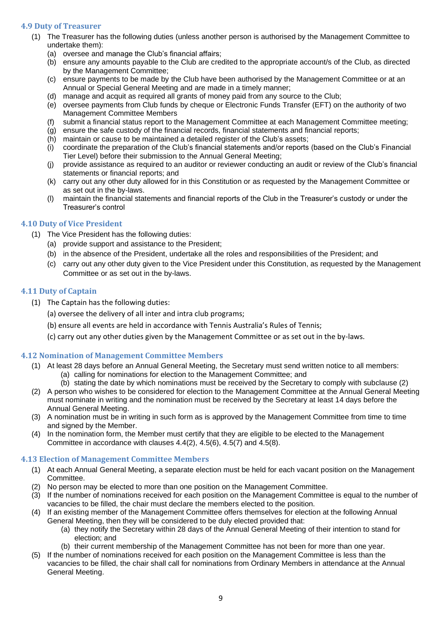### <span id="page-9-0"></span>**4.9 Duty of Treasurer**

- (1) The Treasurer has the following duties (unless another person is authorised by the Management Committee to undertake them):
	- (a) oversee and manage the Club's financial affairs;
	- (b) ensure any amounts payable to the Club are credited to the appropriate account/s of the Club, as directed by the Management Committee;
	- (c) ensure payments to be made by the Club have been authorised by the Management Committee or at an Annual or Special General Meeting and are made in a timely manner;
	- (d) manage and acquit as required all grants of money paid from any source to the Club;
	- (e) oversee payments from Club funds by cheque or Electronic Funds Transfer (EFT) on the authority of two Management Committee Members
	- (f) submit a financial status report to the Management Committee at each Management Committee meeting;
	- (g) ensure the safe custody of the financial records, financial statements and financial reports;
	- (h) maintain or cause to be maintained a detailed register of the Club's assets;
	- (i) coordinate the preparation of the Club's financial statements and/or reports (based on the Club's Financial Tier Level) before their submission to the Annual General Meeting;
	- (j) provide assistance as required to an auditor or reviewer conducting an audit or review of the Club's financial statements or financial reports; and
	- (k) carry out any other duty allowed for in this Constitution or as requested by the Management Committee or as set out in the by-laws.
	- (l) maintain the financial statements and financial reports of the Club in the Treasurer's custody or under the Treasurer's control

### <span id="page-9-1"></span>**4.10 Duty of Vice President**

- (1) The Vice President has the following duties:
	- (a) provide support and assistance to the President;
	- (b) in the absence of the President, undertake all the roles and responsibilities of the President; and
	- (c) carry out any other duty given to the Vice President under this Constitution, as requested by the Management Committee or as set out in the by-laws.

### <span id="page-9-2"></span>**4.11 Duty of Captain**

- (1) The Captain has the following duties:
	- (a) oversee the delivery of all inter and intra club programs;
	- (b) ensure all events are held in accordance with Tennis Australia's Rules of Tennis;
	- (c) carry out any other duties given by the Management Committee or as set out in the by-laws.

### <span id="page-9-3"></span>**4.12 Nomination of Management Committee Members**

- (1) At least 28 days before an Annual General Meeting, the Secretary must send written notice to all members: (a) calling for nominations for election to the Management Committee; and
	- (b) stating the date by which nominations must be received by the Secretary to comply with subclause (2)
- (2) A person who wishes to be considered for election to the Management Committee at the Annual General Meeting must nominate in writing and the nomination must be received by the Secretary at least 14 days before the Annual General Meeting.
- (3) A nomination must be in writing in such form as is approved by the Management Committee from time to time and signed by the Member.
- (4) In the nomination form, the Member must certify that they are eligible to be elected to the Management Committee in accordance with clauses 4.4(2), 4.5(6), 4.5(7) and 4.5(8).

### <span id="page-9-4"></span>**4.13 Election of Management Committee Members**

- (1) At each Annual General Meeting, a separate election must be held for each vacant position on the Management Committee.
- (2) No person may be elected to more than one position on the Management Committee.
- (3) If the number of nominations received for each position on the Management Committee is equal to the number of vacancies to be filled, the chair must declare the members elected to the position.
- (4) If an existing member of the Management Committee offers themselves for election at the following Annual General Meeting, then they will be considered to be duly elected provided that:
	- (a) they notify the Secretary within 28 days of the Annual General Meeting of their intention to stand for election; and
	- (b) their current membership of the Management Committee has not been for more than one year.
- (5) If the number of nominations received for each position on the Management Committee is less than the vacancies to be filled, the chair shall call for nominations from Ordinary Members in attendance at the Annual General Meeting.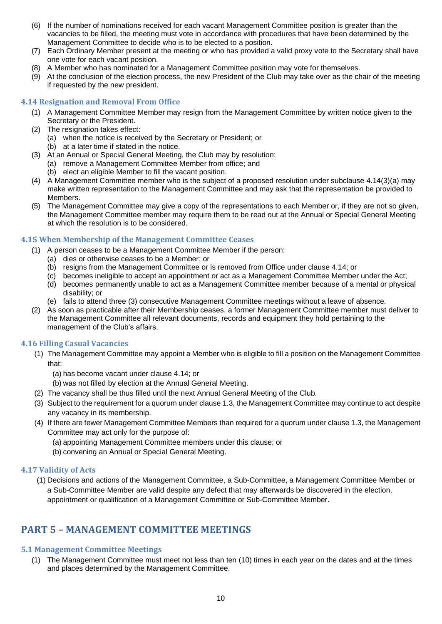- (6) If the number of nominations received for each vacant Management Committee position is greater than the vacancies to be filled, the meeting must vote in accordance with procedures that have been determined by the Management Committee to decide who is to be elected to a position.
- (7) Each Ordinary Member present at the meeting or who has provided a valid proxy vote to the Secretary shall have one vote for each vacant position.
- (8) A Member who has nominated for a Management Committee position may vote for themselves.
- (9) At the conclusion of the election process, the new President of the Club may take over as the chair of the meeting if requested by the new president.

### <span id="page-10-0"></span>**4.14 Resignation and Removal From Office**

- (1) A Management Committee Member may resign from the Management Committee by written notice given to the Secretary or the President**.**
- (2) The resignation takes effect:
	- (a) when the notice is received by the Secretary or President; or (b) at a later time if stated in the notice.
- (3) At an Annual or Special General Meeting, the Club may by resolution:
	- (a) remove a Management Committee Member from office; and
	- (b) elect an eligible Member to fill the vacant position.
- (4) A Management Committee member who is the subject of a proposed resolution under subclause 4.14(3)(a) may make written representation to the Management Committee and may ask that the representation be provided to **Members**
- (5) The Management Committee may give a copy of the representations to each Member or, if they are not so given, the Management Committee member may require them to be read out at the Annual or Special General Meeting at which the resolution is to be considered.

### <span id="page-10-1"></span>**4.15 When Membership of the Management Committee Ceases**

- (1) A person ceases to be a Management Committee Member if the person:
	- (a) dies or otherwise ceases to be a Member; or
	- (b) resigns from the Management Committee or is removed from Office under clause 4.14; or
	- (c) becomes ineligible to accept an appointment or act as a Management Committee Member under the Act;
	- (d) becomes permanently unable to act as a Management Committee member because of a mental or physical disability; or
	- (e) fails to attend three (3) consecutive Management Committee meetings without a leave of absence.
- (2) As soon as practicable after their Membership ceases, a former Management Committee member must deliver to the Management Committee all relevant documents, records and equipment they hold pertaining to the management of the Club's affairs.

### <span id="page-10-2"></span>**4.16 Filling Casual Vacancies**

- (1) The Management Committee may appoint a Member who is eligible to fill a position on the Management Committee that:
	- (a) has become vacant under clause 4.14; or
	- (b) was not filled by election at the Annual General Meeting.
- (2) The vacancy shall be thus filled until the next Annual General Meeting of the Club.
- (3) Subject to the requirement for a quorum under clause 1.3, the Management Committee may continue to act despite any vacancy in its membership.
- (4) If there are fewer Management Committee Members than required for a quorum under clause 1.3, the Management Committee may act only for the purpose of:
	- (a) appointing Management Committee members under this clause; or
	- (b) convening an Annual or Special General Meeting.

### <span id="page-10-3"></span>**4.17 Validity of Acts**

(1) Decisions and actions of the Management Committee, a Sub-Committee, a Management Committee Member or a Sub-Committee Member are valid despite any defect that may afterwards be discovered in the election, appointment or qualification of a Management Committee or Sub-Committee Member.

### <span id="page-10-4"></span>**PART 5 – MANAGEMENT COMMITTEE MEETINGS**

### <span id="page-10-5"></span>**5.1 Management Committee Meetings**

(1) The Management Committee must meet not less than ten (10) times in each year on the dates and at the times and places determined by the Management Committee.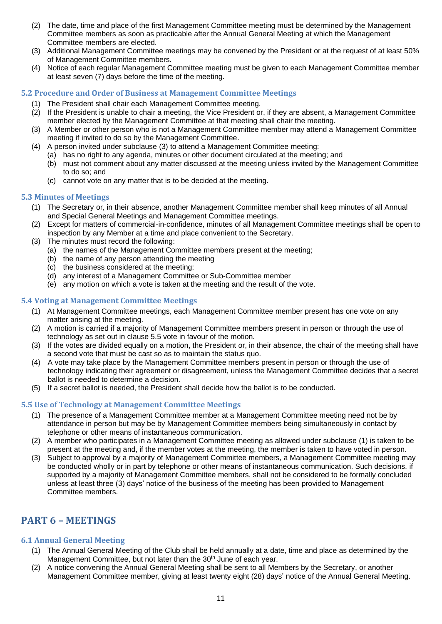- (2) The date, time and place of the first Management Committee meeting must be determined by the Management Committee members as soon as practicable after the Annual General Meeting at which the Management Committee members are elected.
- (3) Additional Management Committee meetings may be convened by the President or at the request of at least 50% of Management Committee members.
- (4) Notice of each regular Management Committee meeting must be given to each Management Committee member at least seven (7) days before the time of the meeting.

### <span id="page-11-0"></span>**5.2 Procedure and Order of Business at Management Committee Meetings**

- (1) The President shall chair each Management Committee meeting.
- (2) If the President is unable to chair a meeting, the Vice President or, if they are absent, a Management Committee member elected by the Management Committee at that meeting shall chair the meeting.
- (3) A Member or other person who is not a Management Committee member may attend a Management Committee meeting if invited to do so by the Management Committee.
- (4) A person invited under subclause (3) to attend a Management Committee meeting:
	- (a) has no right to any agenda, minutes or other document circulated at the meeting; and
	- (b) must not comment about any matter discussed at the meeting unless invited by the Management Committee to do so; and
	- (c) cannot vote on any matter that is to be decided at the meeting.

### <span id="page-11-1"></span>**5.3 Minutes of Meetings**

- (1) The Secretary or, in their absence, another Management Committee member shall keep minutes of all Annual and Special General Meetings and Management Committee meetings.
- (2) Except for matters of commercial-in-confidence, minutes of all Management Committee meetings shall be open to inspection by any Member at a time and place convenient to the Secretary.
- (3) The minutes must record the following:
	- (a) the names of the Management Committee members present at the meeting;
	- (b) the name of any person attending the meeting
	- (c) the business considered at the meeting;
	- (d) any interest of a Management Committee or Sub-Committee member
	- (e) any motion on which a vote is taken at the meeting and the result of the vote.

### <span id="page-11-2"></span>**5.4 Voting at Management Committee Meetings**

- (1) At Management Committee meetings, each Management Committee member present has one vote on any matter arising at the meeting.
- (2) A motion is carried if a majority of Management Committee members present in person or through the use of technology as set out in clause 5.5 vote in favour of the motion.
- (3) If the votes are divided equally on a motion, the President or, in their absence, the chair of the meeting shall have a second vote that must be cast so as to maintain the status quo.
- (4) A vote may take place by the Management Committee members present in person or through the use of technology indicating their agreement or disagreement, unless the Management Committee decides that a secret ballot is needed to determine a decision.
- (5) If a secret ballot is needed, the President shall decide how the ballot is to be conducted.

### <span id="page-11-3"></span>**5.5 Use of Technology at Management Committee Meetings**

- (1) The presence of a Management Committee member at a Management Committee meeting need not be by attendance in person but may be by Management Committee members being simultaneously in contact by telephone or other means of instantaneous communication.
- (2) A member who participates in a Management Committee meeting as allowed under subclause (1) is taken to be present at the meeting and, if the member votes at the meeting, the member is taken to have voted in person.
- (3) Subject to approval by a majority of Management Committee members, a Management Committee meeting may be conducted wholly or in part by telephone or other means of instantaneous communication. Such decisions, if supported by a majority of Management Committee members, shall not be considered to be formally concluded unless at least three (3) days' notice of the business of the meeting has been provided to Management Committee members.

### <span id="page-11-4"></span>**PART 6 – MEETINGS**

### <span id="page-11-5"></span>**6.1 Annual General Meeting**

- (1) The Annual General Meeting of the Club shall be held annually at a date, time and place as determined by the Management Committee, but not later than the 30<sup>th</sup> June of each year.
- (2) A notice convening the Annual General Meeting shall be sent to all Members by the Secretary, or another Management Committee member, giving at least twenty eight (28) days' notice of the Annual General Meeting.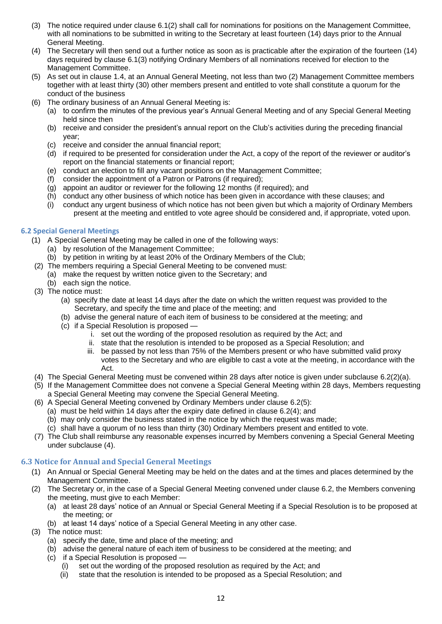- (3) The notice required under clause 6.1(2) shall call for nominations for positions on the Management Committee, with all nominations to be submitted in writing to the Secretary at least fourteen (14) days prior to the Annual General Meeting.
- (4) The Secretary will then send out a further notice as soon as is practicable after the expiration of the fourteen (14) days required by clause 6.1(3) notifying Ordinary Members of all nominations received for election to the Management Committee.
- (5) As set out in clause 1.4, at an Annual General Meeting, not less than two (2) Management Committee members together with at least thirty (30) other members present and entitled to vote shall constitute a quorum for the conduct of the business
- (6) The ordinary business of an Annual General Meeting is:
	- (a) to confirm the minutes of the previous year's Annual General Meeting and of any Special General Meeting held since then
	- (b) receive and consider the president's annual report on the Club's activities during the preceding financial year;
	- (c) receive and consider the annual financial report;
	- (d) if required to be presented for consideration under the Act, a copy of the report of the reviewer or auditor's report on the financial statements or financial report;
	- (e) conduct an election to fill any vacant positions on the Management Committee;
	- (f) consider the appointment of a Patron or Patrons (if required);
	- (g) appoint an auditor or reviewer for the following 12 months (if required); and
	- (h) conduct any other business of which notice has been given in accordance with these clauses; and
	- (i) conduct any urgent business of which notice has not been given but which a majority of Ordinary Members present at the meeting and entitled to vote agree should be considered and, if appropriate, voted upon.

### **6.2 Special General Meetings**

- (1) A Special General Meeting may be called in one of the following ways:
	- (a) by resolution of the Management Committee;
	- (b) by petition in writing by at least 20% of the Ordinary Members of the Club;
- (2) The members requiring a Special General Meeting to be convened must:
	- (a) make the request by written notice given to the Secretary; and
	- (b) each sign the notice.
- (3) The notice must:
	- (a) specify the date at least 14 days after the date on which the written request was provided to the Secretary, and specify the time and place of the meeting; and
	- (b) advise the general nature of each item of business to be considered at the meeting; and
	- (c) if a Special Resolution is proposed
		- i. set out the wording of the proposed resolution as required by the Act; and
		- ii. state that the resolution is intended to be proposed as a Special Resolution; and
		- iii. be passed by not less than 75% of the Members present or who have submitted valid proxy votes to the Secretary and who are eligible to cast a vote at the meeting, in accordance with the Act.
- (4) The Special General Meeting must be convened within 28 days after notice is given under subclause 6.2(2)(a).
- (5) If the Management Committee does not convene a Special General Meeting within 28 days, Members requesting a Special General Meeting may convene the Special General Meeting.
- (6) A Special General Meeting convened by Ordinary Members under clause 6.2(5):
	- (a) must be held within 14 days after the expiry date defined in clause 6.2(4); and
	- (b) may only consider the business stated in the notice by which the request was made;
	- (c) shall have a quorum of no less than thirty (30) Ordinary Members present and entitled to vote.
- (7) The Club shall reimburse any reasonable expenses incurred by Members convening a Special General Meeting under subclause (4).

### <span id="page-12-0"></span>**6.3 Notice for Annual and Special General Meetings**

- (1) An Annual or Special General Meeting may be held on the dates and at the times and places determined by the Management Committee.
- (2) The Secretary or, in the case of a Special General Meeting convened under clause 6.2, the Members convening the meeting, must give to each Member:
	- (a) at least 28 days' notice of an Annual or Special General Meeting if a Special Resolution is to be proposed at the meeting; or
	- (b) at least 14 days' notice of a Special General Meeting in any other case.
- (3) The notice must:
	- (a) specify the date, time and place of the meeting; and
	- (b) advise the general nature of each item of business to be considered at the meeting; and
	- (c) if a Special Resolution is proposed
		- (i) set out the wording of the proposed resolution as required by the Act; and
		- (ii) state that the resolution is intended to be proposed as a Special Resolution; and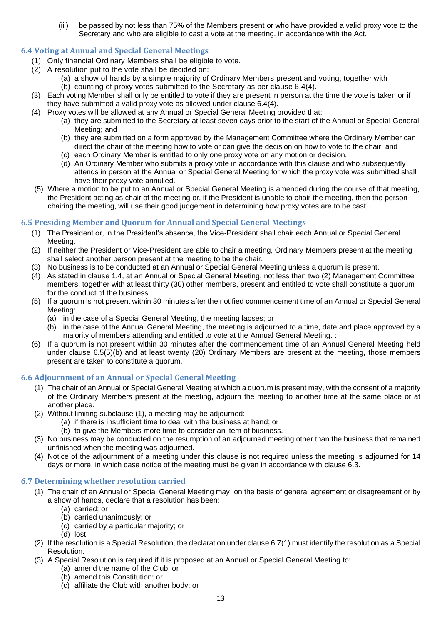(iii) be passed by not less than 75% of the Members present or who have provided a valid proxy vote to the Secretary and who are eligible to cast a vote at the meeting. in accordance with the Act.

### <span id="page-13-1"></span><span id="page-13-0"></span>**6.4 Voting at Annual and Special General Meetings**

- (1) Only financial Ordinary Members shall be eligible to vote.
- (2) A resolution put to the vote shall be decided on:
	- (a) a show of hands by a simple majority of Ordinary Members present and voting, together with
	- (b) counting of proxy votes submitted to the Secretary as per clause 6.4(4).
- (3) Each voting Member shall only be entitled to vote if they are present in person at the time the vote is taken or if they have submitted a valid proxy vote as allowed under clause 6.4(4).
- (4) Proxy votes will be allowed at any Annual or Special General Meeting provided that:
	- (a) they are submitted to the Secretary at least seven days prior to the start of the Annual or Special General Meeting; and
	- (b) they are submitted on a form approved by the Management Committee where the Ordinary Member can direct the chair of the meeting how to vote or can give the decision on how to vote to the chair; and
	- (c) each Ordinary Member is entitled to only one proxy vote on any motion or decision.
	- (d) An Ordinary Member who submits a proxy vote in accordance with this clause and who subsequently attends in person at the Annual or Special General Meeting for which the proxy vote was submitted shall have their proxy vote annulled.
- (5) Where a motion to be put to an Annual or Special General Meeting is amended during the course of that meeting, the President acting as chair of the meeting or, if the President is unable to chair the meeting, then the person chairing the meeting, will use their good judgement in determining how proxy votes are to be cast.

### **6.5 Presiding Member and Quorum for Annual and Special General Meetings**

- (1) The President or, in the President's absence, the Vice-President shall chair each Annual or Special General Meeting.
- (2) If neither the President or Vice-President are able to chair a meeting, Ordinary Members present at the meeting shall select another person present at the meeting to be the chair.
- (3) No business is to be conducted at an Annual or Special General Meeting unless a quorum is present.
- (4) As stated in clause 1.4, at an Annual or Special General Meeting, not less than two (2) Management Committee members, together with at least thirty (30) other members, present and entitled to vote shall constitute a quorum for the conduct of the business.
- (5) If a quorum is not present within 30 minutes after the notified commencement time of an Annual or Special General Meeting:
	- (a) in the case of a Special General Meeting, the meeting lapses; or
	- (b) in the case of the Annual General Meeting, the meeting is adjourned to a time, date and place approved by a majority of members attending and entitled to vote at the Annual General Meeting. :
- (6) If a quorum is not present within 30 minutes after the commencement time of an Annual General Meeting held under clause 6.5(5)(b) and at least twenty (20) Ordinary Members are present at the meeting, those members present are taken to constitute a quorum.

### <span id="page-13-2"></span>**6.6 Adjournment of an Annual or Special General Meeting**

- (1) The chair of an Annual or Special General Meeting at which a quorum is present may, with the consent of a majority of the Ordinary Members present at the meeting, adjourn the meeting to another time at the same place or at another place.
- (2) Without limiting subclause (1), a meeting may be adjourned:
	- (a) if there is insufficient time to deal with the business at hand; or
	- (b) to give the Members more time to consider an item of business.
- (3) No business may be conducted on the resumption of an adjourned meeting other than the business that remained unfinished when the meeting was adjourned.
- (4) Notice of the adjournment of a meeting under this clause is not required unless the meeting is adjourned for 14 days or more, in which case notice of the meeting must be given in accordance with clause 6.3.

### <span id="page-13-3"></span>**6.7 Determining whether resolution carried**

- (1) The chair of an Annual or Special General Meeting may, on the basis of general agreement or disagreement or by a show of hands, declare that a resolution has been:
	- (a) carried; or
	- (b) carried unanimously; or
	- (c) carried by a particular majority; or
	- (d) lost.
- (2) If the resolution is a Special Resolution, the declaration under clause 6.7(1) must identify the resolution as a Special Resolution.
- (3) A Special Resolution is required if it is proposed at an Annual or Special General Meeting to:
	- (a) amend the name of the Club; or
	- (b) amend this Constitution; or
	- (c) affiliate the Club with another body; or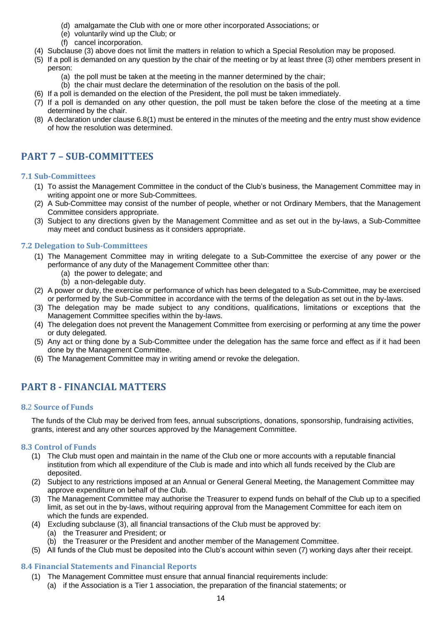- (d) amalgamate the Club with one or more other incorporated Associations; or
- (e) voluntarily wind up the Club; or
- (f) cancel incorporation.
- (4) Subclause (3) above does not limit the matters in relation to which a Special Resolution may be proposed.
- (5) If a poll is demanded on any question by the chair of the meeting or by at least three (3) other members present in person:
	- (a) the poll must be taken at the meeting in the manner determined by the chair;
	- (b) the chair must declare the determination of the resolution on the basis of the poll.
- (6) If a poll is demanded on the election of the President, the poll must be taken immediately.
- (7) If a poll is demanded on any other question, the poll must be taken before the close of the meeting at a time determined by the chair.
- (8) A declaration under clause 6.8(1) must be entered in the minutes of the meeting and the entry must show evidence of how the resolution was determined.

### <span id="page-14-0"></span>**PART 7 – SUB-COMMITTEES**

### <span id="page-14-1"></span>**7.1 Sub-Committees**

- (1) To assist the Management Committee in the conduct of the Club's business, the Management Committee may in writing appoint one or more Sub-Committees.
- (2) A Sub-Committee may consist of the number of people, whether or not Ordinary Members, that the Management Committee considers appropriate.
- (3) Subject to any directions given by the Management Committee and as set out in the by-laws, a Sub-Committee may meet and conduct business as it considers appropriate.

### <span id="page-14-2"></span>**7.2 Delegation to Sub-Committees**

- (1) The Management Committee may in writing delegate to a Sub-Committee the exercise of any power or the performance of any duty of the Management Committee other than:
	- (a) the power to delegate; and
	- (b) a non-delegable duty.
- (2) A power or duty, the exercise or performance of which has been delegated to a Sub-Committee, may be exercised or performed by the Sub-Committee in accordance with the terms of the delegation as set out in the by-laws.
- (3) The delegation may be made subject to any conditions, qualifications, limitations or exceptions that the Management Committee specifies within the by-laws.
- (4) The delegation does not prevent the Management Committee from exercising or performing at any time the power or duty delegated.
- (5) Any act or thing done by a Sub-Committee under the delegation has the same force and effect as if it had been done by the Management Committee.
- <span id="page-14-3"></span>(6) The Management Committee may in writing amend or revoke the delegation.

### **PART 8 - FINANCIAL MATTERS**

### <span id="page-14-4"></span>**8.**2 **Source of Funds**

The funds of the Club may be derived from fees, annual subscriptions, donations, sponsorship, fundraising activities, grants, interest and any other sources approved by the Management Committee.

### <span id="page-14-5"></span>**8.3 Control of Funds**

- (1) The Club must open and maintain in the name of the Club one or more accounts with a reputable financial institution from which all expenditure of the Club is made and into which all funds received by the Club are deposited.
- (2) Subject to any restrictions imposed at an Annual or General General Meeting, the Management Committee may approve expenditure on behalf of the Club.
- (3) The Management Committee may authorise the Treasurer to expend funds on behalf of the Club up to a specified limit, as set out in the by-laws, without requiring approval from the Management Committee for each item on which the funds are expended.
- (4) Excluding subclause (3), all financial transactions of the Club must be approved by:
	- (a) the Treasurer and President; or
	- (b) the Treasurer or the President and another member of the Management Committee.
- (5) All funds of the Club must be deposited into the Club's account within seven (7) working days after their receipt.

### <span id="page-14-6"></span>**8.4 Financial Statements and Financial Reports**

- (1) The Management Committee must ensure that annual financial requirements include:
	- (a) if the Association is a Tier 1 association, the preparation of the financial statements; or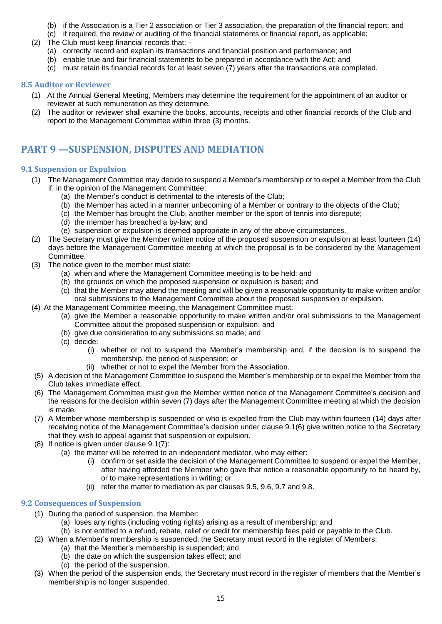- (b) if the Association is a Tier 2 association or Tier 3 association, the preparation of the financial report; and
- (c) if required, the review or auditing of the financial statements or financial report, as applicable;
- (2) The Club must keep financial records that:
	- (a) correctly record and explain its transactions and financial position and performance; and
	- (b) enable true and fair financial statements to be prepared in accordance with the Act; and
	- (c) must retain its financial records for at least seven (7) years after the transactions are completed.

### <span id="page-15-0"></span>**8.5 Auditor or Reviewer**

- (1) At the Annual General Meeting, Members may determine the requirement for the appointment of an auditor or reviewer at such remuneration as they determine.
- (2) The auditor or reviewer shall examine the books, accounts, receipts and other financial records of the Club and report to the Management Committee within three (3) months.

### <span id="page-15-1"></span>**PART 9 —SUSPENSION, DISPUTES AND MEDIATION**

### <span id="page-15-2"></span>**9.1 Suspension or Expulsion**

- (1) The Management Committee may decide to suspend a Member's membership or to expel a Member from the Club if, in the opinion of the Management Committee:
	- (a) the Member's conduct is detrimental to the interests of the Club;
	- (b) the Member has acted in a manner unbecoming of a Member or contrary to the objects of the Club;
	- (c) the Member has brought the Club, another member or the sport of tennis into disrepute;
	- (d) the member has breached a by-law; and
	- (e) suspension or expulsion is deemed appropriate in any of the above circumstances.
- (2) The Secretary must give the Member written notice of the proposed suspension or expulsion at least fourteen (14) days before the Management Committee meeting at which the proposal is to be considered by the Management Committee.
- (3) The notice given to the member must state:
	- (a) when and where the Management Committee meeting is to be held; and
	- (b) the grounds on which the proposed suspension or expulsion is based; and
	- (c) that the Member may attend the meeting and will be given a reasonable opportunity to make written and/or oral submissions to the Management Committee about the proposed suspension or expulsion.
- (4) At the Management Committee meeting, the Management Committee must:
	- (a) give the Member a reasonable opportunity to make written and/or oral submissions to the Management Committee about the proposed suspension or expulsion; and
	- (b) give due consideration to any submissions so made; and
	- (c) decide:
		- (i) whether or not to suspend the Member's membership and, if the decision is to suspend the membership, the period of suspension; or
		- (ii) whether or not to expel the Member from the Association.
- (5) A decision of the Management Committee to suspend the Member's membership or to expel the Member from the Club takes immediate effect.
- (6) The Management Committee must give the Member written notice of the Management Committee's decision and the reasons for the decision within seven (7) days after the Management Committee meeting at which the decision is made.
- (7) A Member whose membership is suspended or who is expelled from the Club may within fourteen (14) days after receiving notice of the Management Committee's decision under clause 9.1(6) give written notice to the Secretary that they wish to appeal against that suspension or expulsion.
- (8) If notice is given under clause 9.1(7):
	- (a) the matter will be referred to an independent mediator, who may either:
		- (i) confirm or set aside the decision of the Management Committee to suspend or expel the Member, after having afforded the Member who gave that notice a reasonable opportunity to be heard by, or to make representations in writing; or
		- (ii) refer the matter to mediation as per clauses 9.5, 9.6, 9.7 and 9.8.

### <span id="page-15-3"></span>**9.2 Consequences of Suspension**

- (1) During the period of suspension, the Member:
	- (a) loses any rights (including voting rights) arising as a result of membership; and
	- (b) is not entitled to a refund, rebate, relief or credit for membership fees paid or payable to the Club.
- (2) When a Member's membership is suspended, the Secretary must record in the register of Members:
	- (a) that the Member's membership is suspended; and
	- (b) the date on which the suspension takes effect; and
	- (c) the period of the suspension.
- (3) When the period of the suspension ends, the Secretary must record in the register of members that the Member's membership is no longer suspended.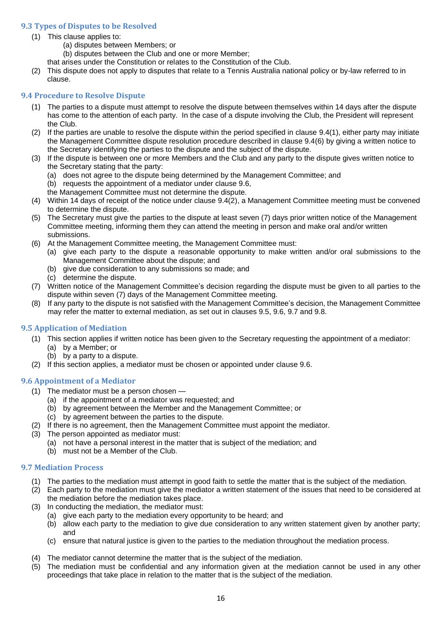### <span id="page-16-0"></span>**9.3 Types of Disputes to be Resolved**

- (1) This clause applies to:
	- (a) disputes between Members; or
	- (b) disputes between the Club and one or more Member;
	- that arises under the Constitution or relates to the Constitution of the Club.
- (2) This dispute does not apply to disputes that relate to a Tennis Australia national policy or by-law referred to in clause.

### <span id="page-16-1"></span>**9.4 Procedure to Resolve Dispute**

- (1) The parties to a dispute must attempt to resolve the dispute between themselves within 14 days after the dispute has come to the attention of each party. In the case of a dispute involving the Club, the President will represent the Club.
- (2) If the parties are unable to resolve the dispute within the period specified in clause 9.4(1), either party may initiate the Management Committee dispute resolution procedure described in clause 9.4(6) by giving a written notice to the Secretary identifying the parties to the dispute and the subject of the dispute.
- (3) If the dispute is between one or more Members and the Club and any party to the dispute gives written notice to the Secretary stating that the party:
	- (a) does not agree to the dispute being determined by the Management Committee; and
	- (b) requests the appointment of a mediator under clause 9.6,
	- the Management Committee must not determine the dispute.
- (4) Within 14 days of receipt of the notice under clause 9.4(2), a Management Committee meeting must be convened to determine the dispute.
- (5) The Secretary must give the parties to the dispute at least seven (7) days prior written notice of the Management Committee meeting, informing them they can attend the meeting in person and make oral and/or written submissions.
- (6) At the Management Committee meeting, the Management Committee must:
	- (a) give each party to the dispute a reasonable opportunity to make written and/or oral submissions to the Management Committee about the dispute; and
	- (b) give due consideration to any submissions so made; and
	- (c) determine the dispute.
- (7) Written notice of the Management Committee's decision regarding the dispute must be given to all parties to the dispute within seven (7) days of the Management Committee meeting.
- (8) If any party to the dispute is not satisfied with the Management Committee's decision, the Management Committee may refer the matter to external mediation, as set out in clauses 9.5, 9.6, 9.7 and 9.8.

### <span id="page-16-2"></span>**9.5 Application of Mediation**

- (1) This section applies if written notice has been given to the Secretary requesting the appointment of a mediator: (a) by a Member; or
	- (b) by a party to a dispute.
- (2) If this section applies, a mediator must be chosen or appointed under clause 9.6.

### <span id="page-16-3"></span>**9.6 Appointment of a Mediator**

- (1) The mediator must be a person chosen
	- (a) if the appointment of a mediator was requested; and
	- (b) by agreement between the Member and the Management Committee; or
	- (c) by agreement between the parties to the dispute.
- (2) If there is no agreement, then the Management Committee must appoint the mediator.
- (3) The person appointed as mediator must:
	- (a) not have a personal interest in the matter that is subject of the mediation; and
	- (b) must not be a Member of the Club.

### <span id="page-16-4"></span>**9.7 Mediation Process**

- (1) The parties to the mediation must attempt in good faith to settle the matter that is the subject of the mediation.
- (2) Each party to the mediation must give the mediator a written statement of the issues that need to be considered at the mediation before the mediation takes place.
- (3) In conducting the mediation, the mediator must:
	- (a) give each party to the mediation every opportunity to be heard; and
		- (b) allow each party to the mediation to give due consideration to any written statement given by another party; and
		- (c) ensure that natural justice is given to the parties to the mediation throughout the mediation process.
- (4) The mediator cannot determine the matter that is the subject of the mediation.
- (5) The mediation must be confidential and any information given at the mediation cannot be used in any other proceedings that take place in relation to the matter that is the subject of the mediation.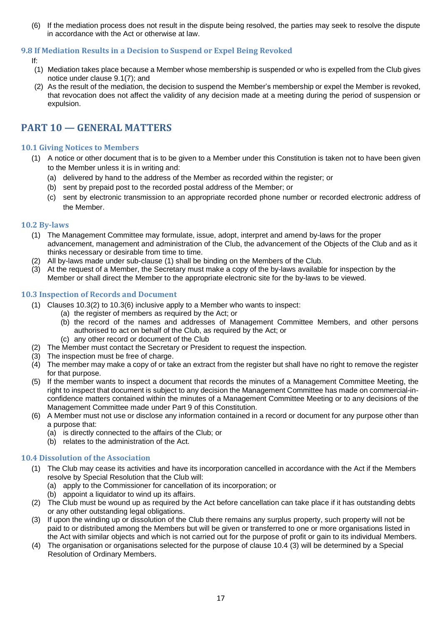(6) If the mediation process does not result in the dispute being resolved, the parties may seek to resolve the dispute in accordance with the Act or otherwise at law.

### <span id="page-17-0"></span>**9.8 If Mediation Results in a Decision to Suspend or Expel Being Revoked**

#### If:

- (1) Mediation takes place because a Member whose membership is suspended or who is expelled from the Club gives notice under clause 9.1(7); and
- (2) As the result of the mediation, the decision to suspend the Member's membership or expel the Member is revoked, that revocation does not affect the validity of any decision made at a meeting during the period of suspension or expulsion.

### <span id="page-17-1"></span>**PART 10 — GENERAL MATTERS**

### <span id="page-17-2"></span>**10.1 Giving Notices to Members**

- (1) A notice or other document that is to be given to a Member under this Constitution is taken not to have been given to the Member unless it is in writing and:
	- (a) delivered by hand to the address of the Member as recorded within the register; or
	- (b) sent by prepaid post to the recorded postal address of the Member; or
	- (c) sent by electronic transmission to an appropriate recorded phone number or recorded electronic address of the Member.

### <span id="page-17-3"></span>**10.2 By-laws**

- (1) The Management Committee may formulate, issue, adopt, interpret and amend by-laws for the proper advancement, management and administration of the Club, the advancement of the Objects of the Club and as it thinks necessary or desirable from time to time.
- (2) All by-laws made under sub-clause (1) shall be binding on the Members of the Club.
- (3) At the request of a Member, the Secretary must make a copy of the by-laws available for inspection by the Member or shall direct the Member to the appropriate electronic site for the by-laws to be viewed.

### <span id="page-17-4"></span>**10.3 Inspection of Records and Document**

- (1) Clauses 10.3(2) to 10.3(6) inclusive apply to a Member who wants to inspect:
	- (a) the register of members as required by the Act; or
	- (b) the record of the names and addresses of Management Committee Members, and other persons authorised to act on behalf of the Club, as required by the Act; or
	- (c) any other record or document of the Club
- (2) The Member must contact the Secretary or President to request the inspection.
- (3) The inspection must be free of charge.
- (4) The member may make a copy of or take an extract from the register but shall have no right to remove the register for that purpose.
- (5) If the member wants to inspect a document that records the minutes of a Management Committee Meeting, the right to inspect that document is subject to any decision the Management Committee has made on commercial-inconfidence matters contained within the minutes of a Management Committee Meeting or to any decisions of the Management Committee made under Part 9 of this Constitution.
- (6) A Member must not use or disclose any information contained in a record or document for any purpose other than a purpose that:
	- (a) is directly connected to the affairs of the Club; or
	- (b) relates to the administration of the Act.

### <span id="page-17-5"></span>**10.4 Dissolution of the Association**

- (1) The Club may cease its activities and have its incorporation cancelled in accordance with the Act if the Members resolve by Special Resolution that the Club will:
	- (a) apply to the Commissioner for cancellation of its incorporation; or
	- (b) appoint a liquidator to wind up its affairs.
- (2) The Club must be wound up as required by the Act before cancellation can take place if it has outstanding debts or any other outstanding legal obligations.
- (3) If upon the winding up or dissolution of the Club there remains any surplus property, such property will not be paid to or distributed among the Members but will be given or transferred to one or more organisations listed in the Act with similar objects and which is not carried out for the purpose of profit or gain to its individual Members.
- (4) The organisation or organisations selected for the purpose of clause 10.4 (3) will be determined by a Special Resolution of Ordinary Members.